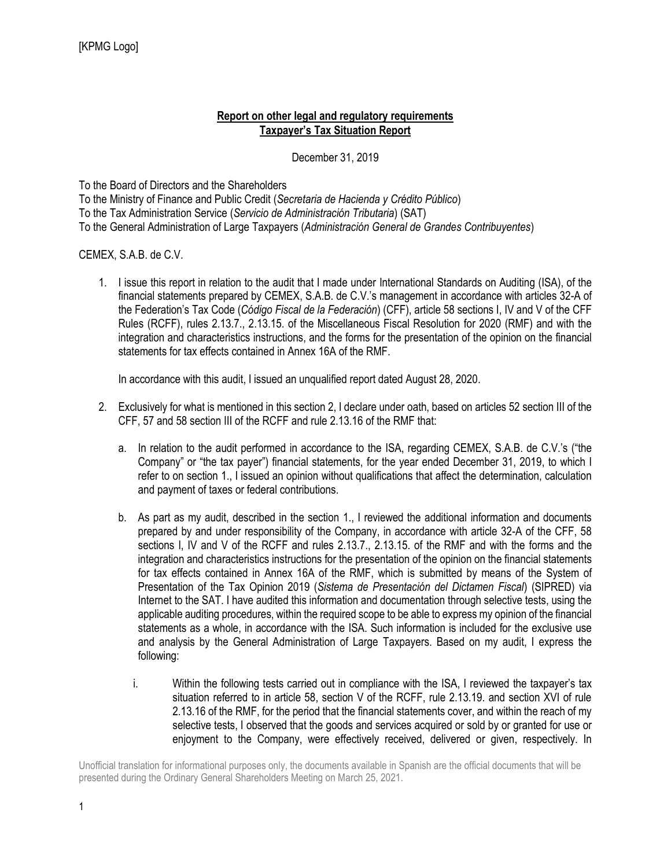## **Report on other legal and regulatory requirements Taxpayer's Tax Situation Report**

December 31, 2019

To the Board of Directors and the Shareholders To the Ministry of Finance and Public Credit (*Secretaria de Hacienda y Crédito Público*) To the Tax Administration Service (*Servicio de Administración Tributaria*) (SAT) To the General Administration of Large Taxpayers (*Administración General de Grandes Contribuyentes*)

CEMEX, S.A.B. de C.V.

1. I issue this report in relation to the audit that I made under International Standards on Auditing (ISA), of the financial statements prepared by CEMEX, S.A.B. de C.V.'s management in accordance with articles 32-A of the Federation's Tax Code (*Código Fiscal de la Federación*) (CFF), article 58 sections I, IV and V of the CFF Rules (RCFF), rules 2.13.7., 2.13.15. of the Miscellaneous Fiscal Resolution for 2020 (RMF) and with the integration and characteristics instructions, and the forms for the presentation of the opinion on the financial statements for tax effects contained in Annex 16A of the RMF.

In accordance with this audit, I issued an unqualified report dated August 28, 2020.

- 2. Exclusively for what is mentioned in this section 2, I declare under oath, based on articles 52 section III of the CFF, 57 and 58 section III of the RCFF and rule 2.13.16 of the RMF that:
	- a. In relation to the audit performed in accordance to the ISA, regarding CEMEX, S.A.B. de C.V.'s ("the Company" or "the tax payer") financial statements, for the year ended December 31, 2019, to which I refer to on section 1., I issued an opinion without qualifications that affect the determination, calculation and payment of taxes or federal contributions.
	- b. As part as my audit, described in the section 1., I reviewed the additional information and documents prepared by and under responsibility of the Company, in accordance with article 32-A of the CFF, 58 sections I, IV and V of the RCFF and rules 2.13.7., 2.13.15. of the RMF and with the forms and the integration and characteristics instructions for the presentation of the opinion on the financial statements for tax effects contained in Annex 16A of the RMF, which is submitted by means of the System of Presentation of the Tax Opinion 2019 (*Sistema de Presentación del Dictamen Fiscal*) (SIPRED) via Internet to the SAT. I have audited this information and documentation through selective tests, using the applicable auditing procedures, within the required scope to be able to express my opinion of the financial statements as a whole, in accordance with the ISA. Such information is included for the exclusive use and analysis by the General Administration of Large Taxpayers. Based on my audit, I express the following:
		- i. Within the following tests carried out in compliance with the ISA, I reviewed the taxpayer's tax situation referred to in article 58, section V of the RCFF, rule 2.13.19. and section XVI of rule 2.13.16 of the RMF, for the period that the financial statements cover, and within the reach of my selective tests, I observed that the goods and services acquired or sold by or granted for use or enjoyment to the Company, were effectively received, delivered or given, respectively. In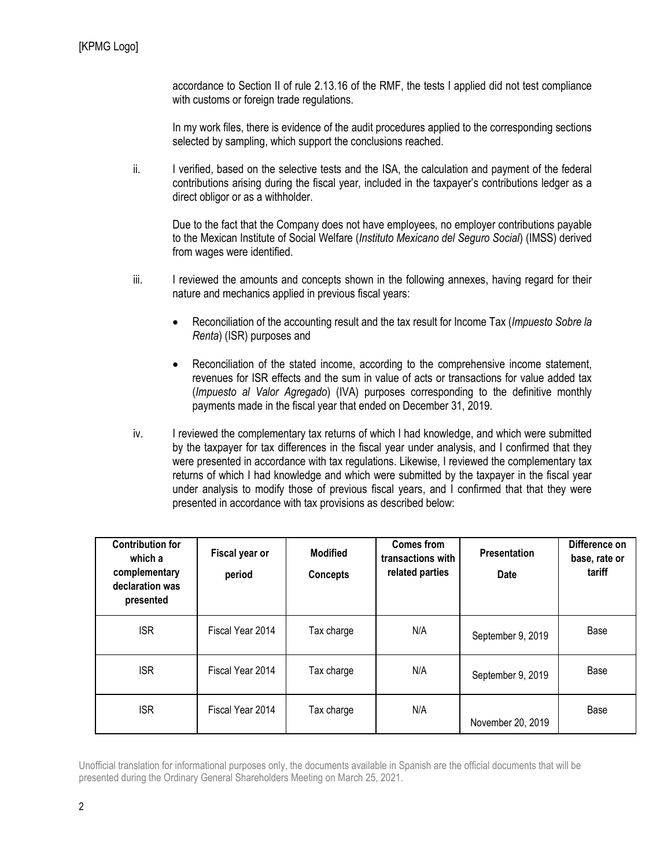accordance to Section II of rule 2.13.16 of the RMF, the tests I applied did not test compliance with customs or foreign trade regulations.

In my work files, there is evidence of the audit procedures applied to the corresponding sections selected by sampling, which support the conclusions reached.

ii. I verified, based on the selective tests and the ISA, the calculation and payment of the federal contributions arising during the fiscal year, included in the taxpayer's contributions ledger as a direct obligor or as a withholder.

Due to the fact that the Company does not have employees, no employer contributions payable to the Mexican Institute of Social Welfare (*Instituto Mexicano del Seguro Social*) (IMSS) derived from wages were identified.

- iii. I reviewed the amounts and concepts shown in the following annexes, having regard for their nature and mechanics applied in previous fiscal years:
	- Reconciliation of the accounting result and the tax result for Income Tax (*Impuesto Sobre la Renta*) (ISR) purposes and
	- Reconciliation of the stated income, according to the comprehensive income statement, revenues for ISR effects and the sum in value of acts or transactions for value added tax (*Impuesto al Valor Agregado*) (IVA) purposes corresponding to the definitive monthly payments made in the fiscal year that ended on December 31, 2019.
- iv. I reviewed the complementary tax returns of which I had knowledge, and which were submitted by the taxpayer for tax differences in the fiscal year under analysis, and I confirmed that they were presented in accordance with tax regulations. Likewise, I reviewed the complementary tax returns of which I had knowledge and which were submitted by the taxpayer in the fiscal year under analysis to modify those of previous fiscal years, and I confirmed that that they were presented in accordance with tax provisions as described below:

| <b>Contribution for</b><br>which a<br>complementary<br>declaration was<br>presented | Fiscal year or<br>period | <b>Modified</b><br><b>Concepts</b> | <b>Comes from</b><br>transactions with<br>related parties | Presentation<br>Date | Difference on<br>base, rate or<br>tariff |
|-------------------------------------------------------------------------------------|--------------------------|------------------------------------|-----------------------------------------------------------|----------------------|------------------------------------------|
| <b>ISR</b>                                                                          | Fiscal Year 2014         | Tax charge                         | N/A                                                       | September 9, 2019    | Base                                     |
| <b>ISR</b>                                                                          | Fiscal Year 2014         | Tax charge                         | N/A                                                       | September 9, 2019    | Base                                     |
| <b>ISR</b>                                                                          | Fiscal Year 2014         | Tax charge                         | N/A                                                       | November 20, 2019    | Base                                     |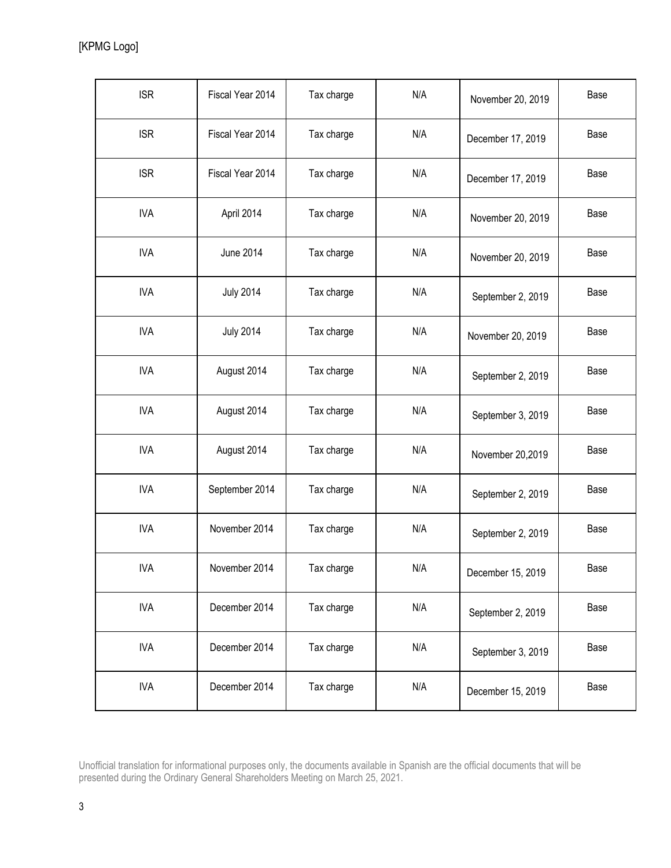| <b>ISR</b> | Fiscal Year 2014 | Tax charge | N/A | November 20, 2019 | Base |
|------------|------------------|------------|-----|-------------------|------|
| <b>ISR</b> | Fiscal Year 2014 | Tax charge | N/A | December 17, 2019 | Base |
| <b>ISR</b> | Fiscal Year 2014 | Tax charge | N/A | December 17, 2019 | Base |
| <b>IVA</b> | April 2014       | Tax charge | N/A | November 20, 2019 | Base |
| <b>IVA</b> | <b>June 2014</b> | Tax charge | N/A | November 20, 2019 | Base |
| <b>IVA</b> | <b>July 2014</b> | Tax charge | N/A | September 2, 2019 | Base |
| <b>IVA</b> | <b>July 2014</b> | Tax charge | N/A | November 20, 2019 | Base |
| <b>IVA</b> | August 2014      | Tax charge | N/A | September 2, 2019 | Base |
| <b>IVA</b> | August 2014      | Tax charge | N/A | September 3, 2019 | Base |
| <b>IVA</b> | August 2014      | Tax charge | N/A | November 20,2019  | Base |
| <b>IVA</b> | September 2014   | Tax charge | N/A | September 2, 2019 | Base |
| <b>IVA</b> | November 2014    | Tax charge | N/A | September 2, 2019 | Base |
| <b>IVA</b> | November 2014    | Tax charge | N/A | December 15, 2019 | Base |
| <b>IVA</b> | December 2014    | Tax charge | N/A | September 2, 2019 | Base |
| <b>IVA</b> | December 2014    | Tax charge | N/A | September 3, 2019 | Base |
| <b>IVA</b> | December 2014    | Tax charge | N/A | December 15, 2019 | Base |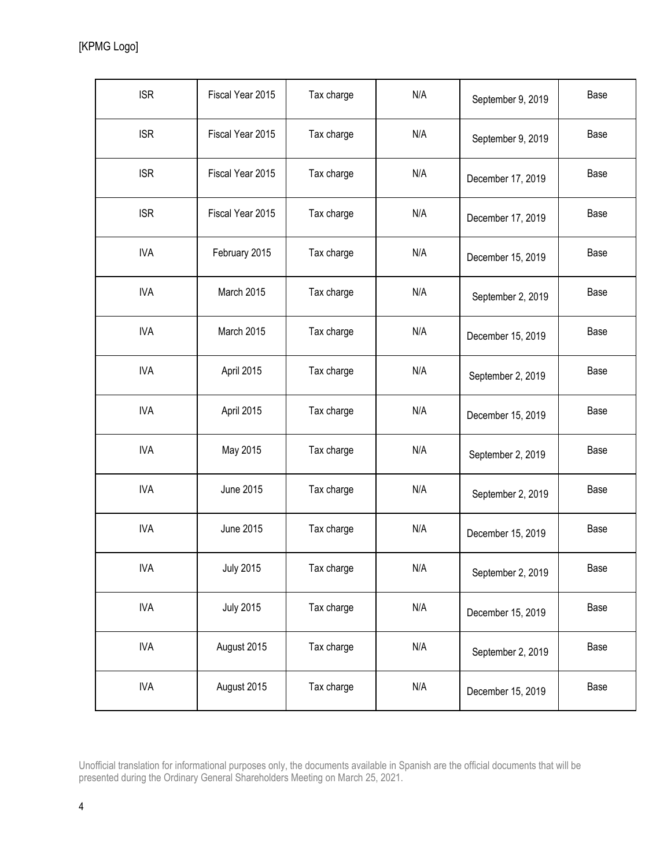| <b>ISR</b> | Fiscal Year 2015 | Tax charge | N/A | September 9, 2019 | Base |
|------------|------------------|------------|-----|-------------------|------|
| <b>ISR</b> | Fiscal Year 2015 | Tax charge | N/A | September 9, 2019 | Base |
| <b>ISR</b> | Fiscal Year 2015 | Tax charge | N/A | December 17, 2019 | Base |
| <b>ISR</b> | Fiscal Year 2015 | Tax charge | N/A | December 17, 2019 | Base |
| <b>IVA</b> | February 2015    | Tax charge | N/A | December 15, 2019 | Base |
| <b>IVA</b> | March 2015       | Tax charge | N/A | September 2, 2019 | Base |
| <b>IVA</b> | March 2015       | Tax charge | N/A | December 15, 2019 | Base |
| <b>IVA</b> | April 2015       | Tax charge | N/A | September 2, 2019 | Base |
| <b>IVA</b> | April 2015       | Tax charge | N/A | December 15, 2019 | Base |
| <b>IVA</b> | May 2015         | Tax charge | N/A | September 2, 2019 | Base |
| <b>IVA</b> | <b>June 2015</b> | Tax charge | N/A | September 2, 2019 | Base |
| <b>IVA</b> | <b>June 2015</b> | Tax charge | N/A | December 15, 2019 | Base |
| <b>IVA</b> | <b>July 2015</b> | Tax charge | N/A | September 2, 2019 | Base |
| <b>IVA</b> | <b>July 2015</b> | Tax charge | N/A | December 15, 2019 | Base |
| <b>IVA</b> | August 2015      | Tax charge | N/A | September 2, 2019 | Base |
| <b>IVA</b> | August 2015      | Tax charge | N/A | December 15, 2019 | Base |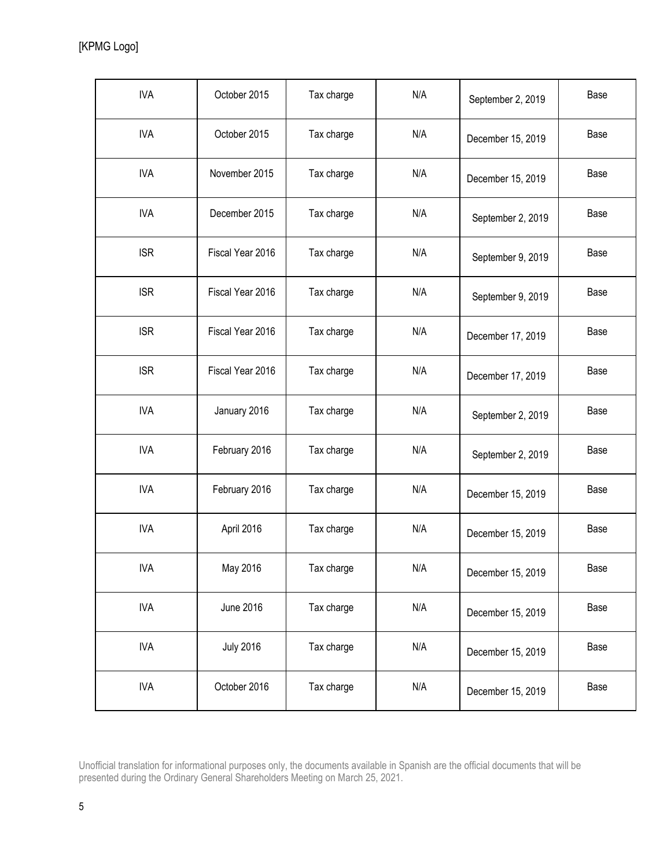| <b>IVA</b> | October 2015     | Tax charge | N/A | September 2, 2019 | Base |
|------------|------------------|------------|-----|-------------------|------|
| <b>IVA</b> | October 2015     | Tax charge | N/A | December 15, 2019 | Base |
| <b>IVA</b> | November 2015    | Tax charge | N/A | December 15, 2019 | Base |
| <b>IVA</b> | December 2015    | Tax charge | N/A | September 2, 2019 | Base |
| <b>ISR</b> | Fiscal Year 2016 | Tax charge | N/A | September 9, 2019 | Base |
| <b>ISR</b> | Fiscal Year 2016 | Tax charge | N/A | September 9, 2019 | Base |
| <b>ISR</b> | Fiscal Year 2016 | Tax charge | N/A | December 17, 2019 | Base |
| <b>ISR</b> | Fiscal Year 2016 | Tax charge | N/A | December 17, 2019 | Base |
| <b>IVA</b> | January 2016     | Tax charge | N/A | September 2, 2019 | Base |
| <b>IVA</b> | February 2016    | Tax charge | N/A | September 2, 2019 | Base |
| <b>IVA</b> | February 2016    | Tax charge | N/A | December 15, 2019 | Base |
| <b>IVA</b> | April 2016       | Tax charge | N/A | December 15, 2019 | Base |
| <b>IVA</b> | May 2016         | Tax charge | N/A | December 15, 2019 | Base |
| <b>IVA</b> | June 2016        | Tax charge | N/A | December 15, 2019 | Base |
| <b>IVA</b> | <b>July 2016</b> | Tax charge | N/A | December 15, 2019 | Base |
| <b>IVA</b> | October 2016     | Tax charge | N/A | December 15, 2019 | Base |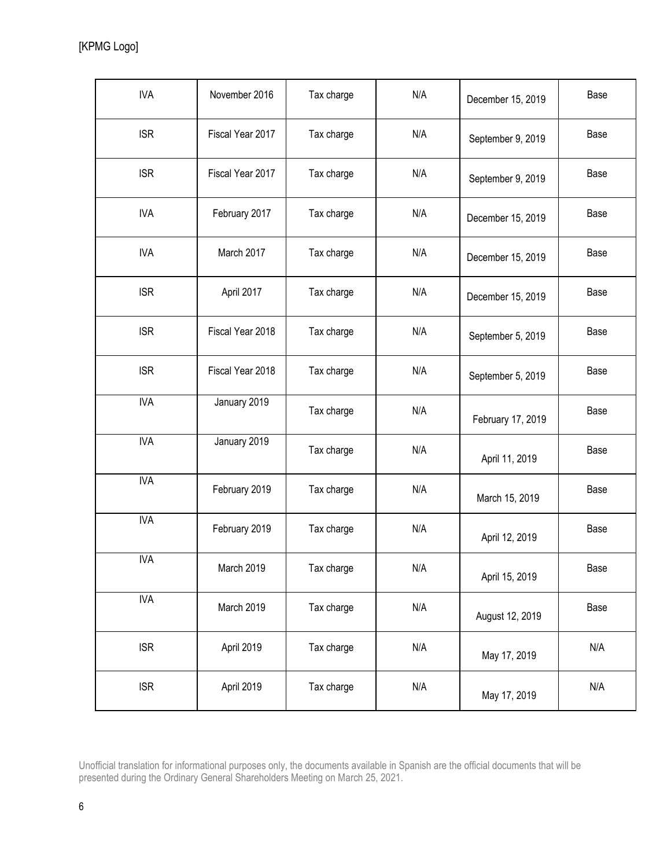| <b>IVA</b> | November 2016    | Tax charge | N/A | December 15, 2019 | Base |
|------------|------------------|------------|-----|-------------------|------|
| <b>ISR</b> | Fiscal Year 2017 | Tax charge | N/A | September 9, 2019 | Base |
| <b>ISR</b> | Fiscal Year 2017 | Tax charge | N/A | September 9, 2019 | Base |
| <b>IVA</b> | February 2017    | Tax charge | N/A | December 15, 2019 | Base |
| <b>IVA</b> | March 2017       | Tax charge | N/A | December 15, 2019 | Base |
| <b>ISR</b> | April 2017       | Tax charge | N/A | December 15, 2019 | Base |
| <b>ISR</b> | Fiscal Year 2018 | Tax charge | N/A | September 5, 2019 | Base |
| <b>ISR</b> | Fiscal Year 2018 | Tax charge | N/A | September 5, 2019 | Base |
| <b>IVA</b> | January 2019     | Tax charge | N/A | February 17, 2019 | Base |
| <b>IVA</b> | January 2019     | Tax charge | N/A | April 11, 2019    | Base |
| <b>IVA</b> | February 2019    | Tax charge | N/A | March 15, 2019    | Base |
| <b>IVA</b> | February 2019    | Tax charge | N/A | April 12, 2019    | Base |
| <b>IVA</b> | March 2019       | Tax charge | N/A | April 15, 2019    | Base |
| <b>IVA</b> | March 2019       | Tax charge | N/A | August 12, 2019   | Base |
| <b>ISR</b> | April 2019       | Tax charge | N/A | May 17, 2019      | N/A  |
| <b>ISR</b> | April 2019       | Tax charge | N/A | May 17, 2019      | N/A  |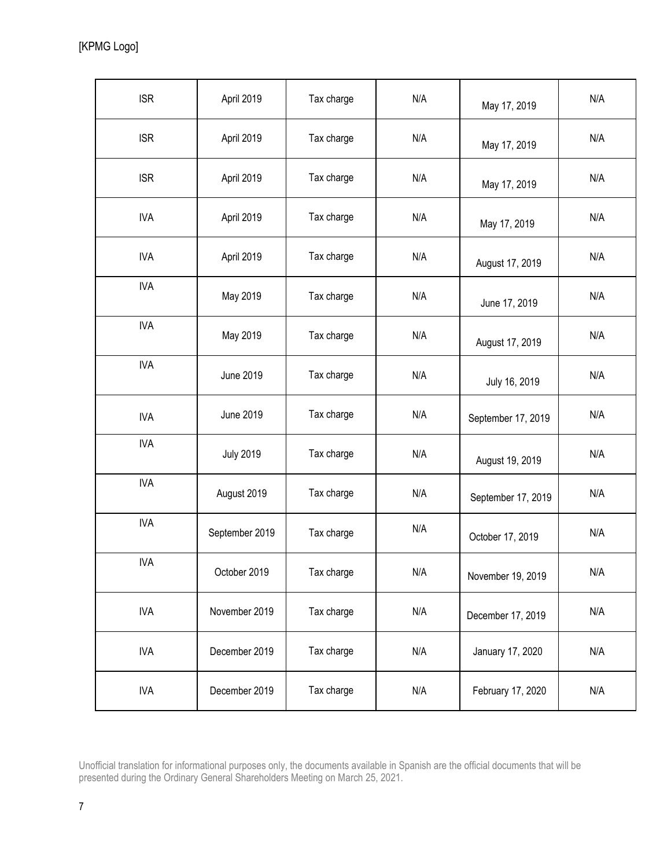| <b>ISR</b> | April 2019       | Tax charge | N/A | May 17, 2019       | N/A |
|------------|------------------|------------|-----|--------------------|-----|
| <b>ISR</b> | April 2019       | Tax charge | N/A | May 17, 2019       | N/A |
| <b>ISR</b> | April 2019       | Tax charge | N/A | May 17, 2019       | N/A |
| <b>IVA</b> | April 2019       | Tax charge | N/A | May 17, 2019       | N/A |
| <b>IVA</b> | April 2019       | Tax charge | N/A | August 17, 2019    | N/A |
| <b>IVA</b> | May 2019         | Tax charge | N/A | June 17, 2019      | N/A |
| <b>IVA</b> | May 2019         | Tax charge | N/A | August 17, 2019    | N/A |
| <b>IVA</b> | June 2019        | Tax charge | N/A | July 16, 2019      | N/A |
| <b>IVA</b> | June 2019        | Tax charge | N/A | September 17, 2019 | N/A |
| <b>IVA</b> | <b>July 2019</b> | Tax charge | N/A | August 19, 2019    | N/A |
| <b>IVA</b> | August 2019      | Tax charge | N/A | September 17, 2019 | N/A |
| <b>IVA</b> | September 2019   | Tax charge | N/A | October 17, 2019   | N/A |
| <b>IVA</b> | October 2019     | Tax charge | N/A | November 19, 2019  | N/A |
| <b>IVA</b> | November 2019    | Tax charge | N/A | December 17, 2019  | N/A |
| <b>IVA</b> | December 2019    | Tax charge | N/A | January 17, 2020   | N/A |
| <b>IVA</b> | December 2019    | Tax charge | N/A | February 17, 2020  | N/A |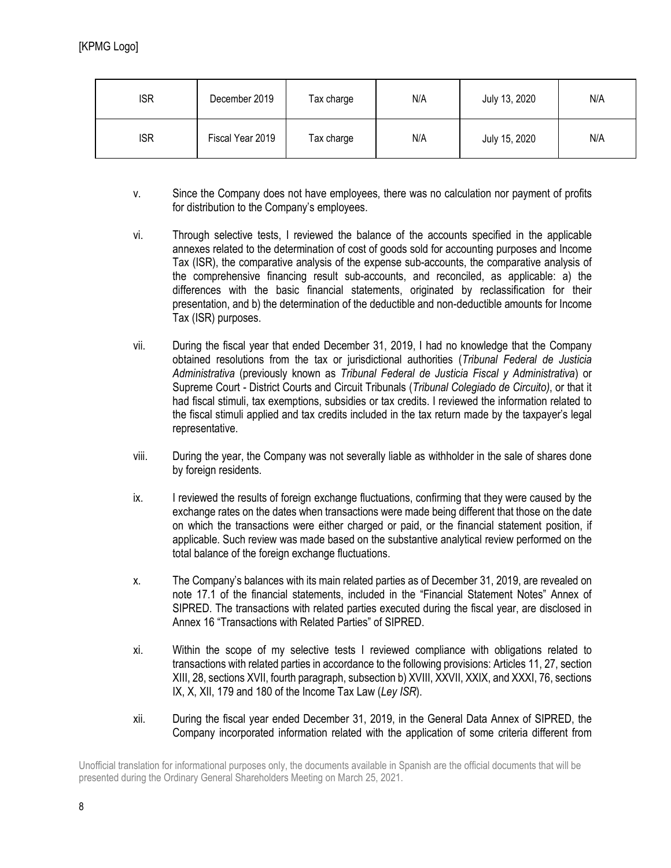| <b>ISR</b> | December 2019    | Tax charge | N/A | July 13, 2020 | N/A |
|------------|------------------|------------|-----|---------------|-----|
| <b>ISR</b> | Fiscal Year 2019 | Tax charge | N/A | July 15, 2020 | N/A |

- v. Since the Company does not have employees, there was no calculation nor payment of profits for distribution to the Company's employees.
- vi. Through selective tests, I reviewed the balance of the accounts specified in the applicable annexes related to the determination of cost of goods sold for accounting purposes and Income Tax (ISR), the comparative analysis of the expense sub-accounts, the comparative analysis of the comprehensive financing result sub-accounts, and reconciled, as applicable: a) the differences with the basic financial statements, originated by reclassification for their presentation, and b) the determination of the deductible and non-deductible amounts for Income Tax (ISR) purposes.
- vii. During the fiscal year that ended December 31, 2019, I had no knowledge that the Company obtained resolutions from the tax or jurisdictional authorities (*Tribunal Federal de Justicia Administrativa* (previously known as *Tribunal Federal de Justicia Fiscal y Administrativa*) or Supreme Court - District Courts and Circuit Tribunals (*Tribunal Colegiado de Circuito)*, or that it had fiscal stimuli, tax exemptions, subsidies or tax credits. I reviewed the information related to the fiscal stimuli applied and tax credits included in the tax return made by the taxpayer's legal representative.
- viii. During the year, the Company was not severally liable as withholder in the sale of shares done by foreign residents.
- ix. I reviewed the results of foreign exchange fluctuations, confirming that they were caused by the exchange rates on the dates when transactions were made being different that those on the date on which the transactions were either charged or paid, or the financial statement position, if applicable. Such review was made based on the substantive analytical review performed on the total balance of the foreign exchange fluctuations.
- x. The Company's balances with its main related parties as of December 31, 2019, are revealed on note 17.1 of the financial statements, included in the "Financial Statement Notes" Annex of SIPRED. The transactions with related parties executed during the fiscal year, are disclosed in Annex 16 "Transactions with Related Parties" of SIPRED.
- xi. Within the scope of my selective tests I reviewed compliance with obligations related to transactions with related parties in accordance to the following provisions: Articles 11, 27, section XIII, 28, sections XVII, fourth paragraph, subsection b) XVIII, XXVII, XXIX, and XXXI, 76, sections IX, X, XII, 179 and 180 of the Income Tax Law (*Ley ISR*).
- xii. During the fiscal year ended December 31, 2019, in the General Data Annex of SIPRED, the Company incorporated information related with the application of some criteria different from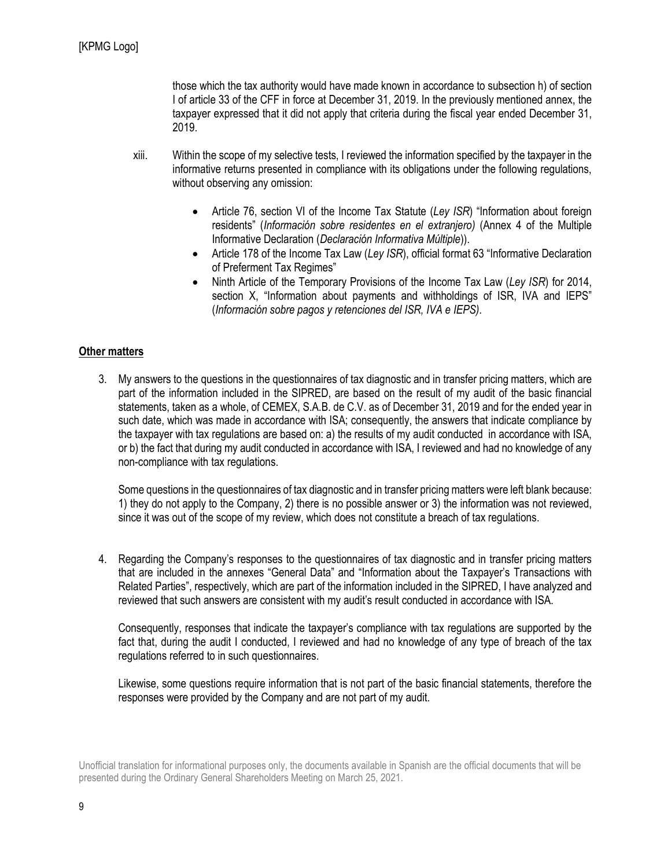those which the tax authority would have made known in accordance to subsection h) of section I of article 33 of the CFF in force at December 31, 2019. In the previously mentioned annex, the taxpayer expressed that it did not apply that criteria during the fiscal year ended December 31, 2019.

- xiii. Within the scope of my selective tests, I reviewed the information specified by the taxpayer in the informative returns presented in compliance with its obligations under the following regulations, without observing any omission:
	- Article 76, section VI of the Income Tax Statute (Ley ISR) "Information about foreign residents" (*Información sobre residentes en el extranjero)* (Annex 4 of the Multiple Informative Declaration (*Declaración Informativa Múltiple*)).
	- Article 178 of the Income Tax Law (Ley ISR), official format 63 "Informative Declaration of Preferment Tax Regimes"
	- Ninth Article of the Temporary Provisions of the Income Tax Law (*Ley ISR*) for 2014, section X, "Information about payments and withholdings of ISR, IVA and IEPS" (*Información sobre pagos y retenciones del ISR, IVA e IEPS)*.

## **Other matters**

3. My answers to the questions in the questionnaires of tax diagnostic and in transfer pricing matters, which are part of the information included in the SIPRED, are based on the result of my audit of the basic financial statements, taken as a whole, of CEMEX, S.A.B. de C.V. as of December 31, 2019 and for the ended year in such date, which was made in accordance with ISA; consequently, the answers that indicate compliance by the taxpayer with tax regulations are based on: a) the results of my audit conducted in accordance with ISA, or b) the fact that during my audit conducted in accordance with ISA, I reviewed and had no knowledge of any non-compliance with tax regulations.

Some questions in the questionnaires of tax diagnostic and in transfer pricing matters were left blank because: 1) they do not apply to the Company, 2) there is no possible answer or 3) the information was not reviewed, since it was out of the scope of my review, which does not constitute a breach of tax regulations.

4. Regarding the Company's responses to the questionnaires of tax diagnostic and in transfer pricing matters that are included in the annexes "General Data" and "Information about the Taxpayer's Transactions with Related Parties", respectively, which are part of the information included in the SIPRED, I have analyzed and reviewed that such answers are consistent with my audit's result conducted in accordance with ISA.

Consequently, responses that indicate the taxpayer's compliance with tax regulations are supported by the fact that, during the audit I conducted, I reviewed and had no knowledge of any type of breach of the tax regulations referred to in such questionnaires.

Likewise, some questions require information that is not part of the basic financial statements, therefore the responses were provided by the Company and are not part of my audit.